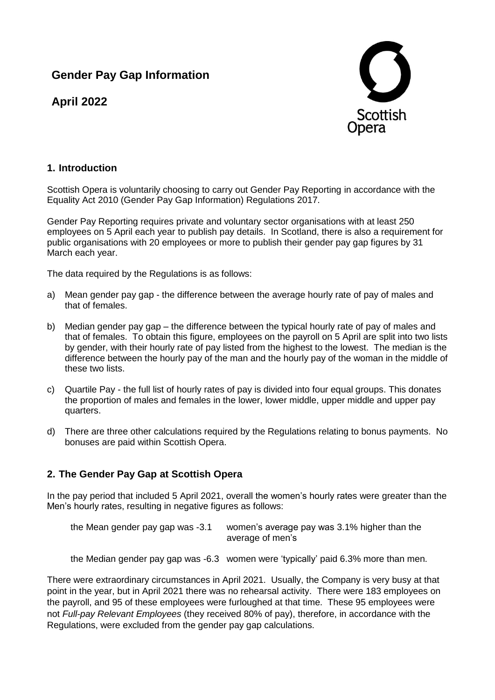# **Gender Pay Gap Information**

**April 2022**



# **1. Introduction**

Scottish Opera is voluntarily choosing to carry out Gender Pay Reporting in accordance with the Equality Act 2010 (Gender Pay Gap Information) Regulations 2017.

Gender Pay Reporting requires private and voluntary sector organisations with at least 250 employees on 5 April each year to publish pay details. In Scotland, there is also a requirement for public organisations with 20 employees or more to publish their gender pay gap figures by 31 March each year.

The data required by the Regulations is as follows:

- a) Mean gender pay gap the difference between the average hourly rate of pay of males and that of females.
- b) Median gender pay gap the difference between the typical hourly rate of pay of males and that of females. To obtain this figure, employees on the payroll on 5 April are split into two lists by gender, with their hourly rate of pay listed from the highest to the lowest. The median is the difference between the hourly pay of the man and the hourly pay of the woman in the middle of these two lists.
- c) Quartile Pay the full list of hourly rates of pay is divided into four equal groups. This donates the proportion of males and females in the lower, lower middle, upper middle and upper pay quarters.
- d) There are three other calculations required by the Regulations relating to bonus payments. No bonuses are paid within Scottish Opera.

### **2. The Gender Pay Gap at Scottish Opera**

In the pay period that included 5 April 2021, overall the women's hourly rates were greater than the Men's hourly rates, resulting in negative figures as follows:

| the Mean gender pay gap was -3.1 | women's average pay was 3.1% higher than the |
|----------------------------------|----------------------------------------------|
|                                  | average of men's                             |

the Median gender pay gap was -6.3 women were 'typically' paid 6.3% more than men.

There were extraordinary circumstances in April 2021. Usually, the Company is very busy at that point in the year, but in April 2021 there was no rehearsal activity. There were 183 employees on the payroll, and 95 of these employees were furloughed at that time. These 95 employees were not *Full-pay Relevant Employees* (they received 80% of pay), therefore, in accordance with the Regulations, were excluded from the gender pay gap calculations.